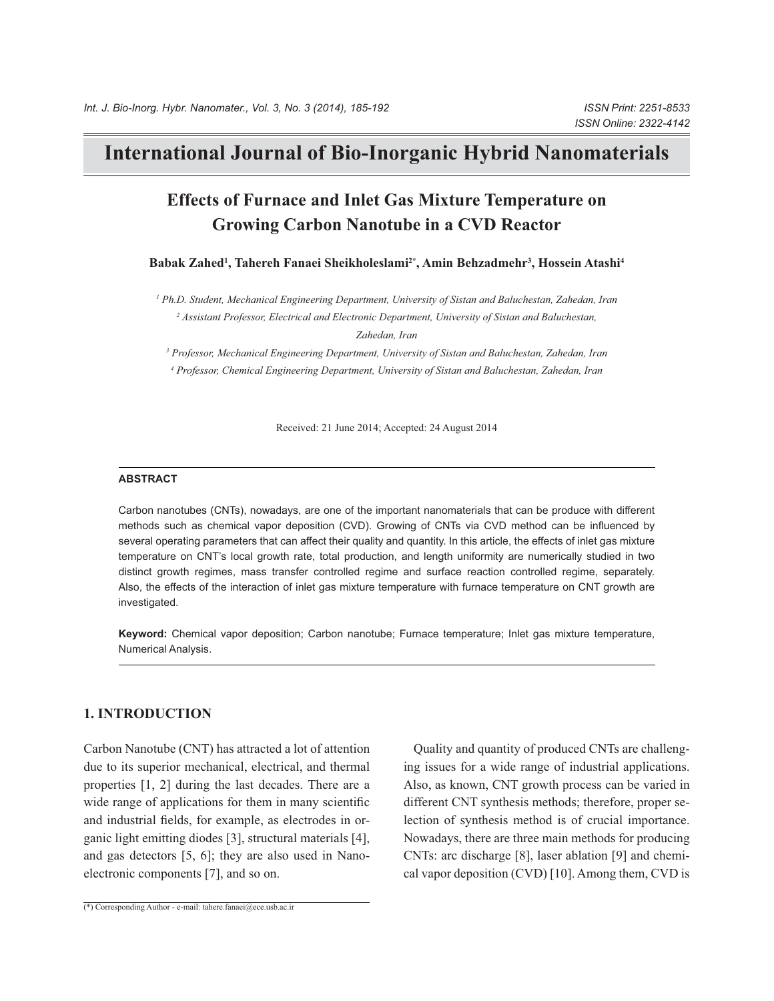# **International Journal of Bio-Inorganic Hybrid Nanomaterials**

# **Effects of Furnace and Inlet Gas Mixture Temperature on Growing Carbon Nanotube in a CVD Reactor**

**Babak Zahed1 , Tahereh Fanaei Sheikholeslami2\*, Amin Behzadmehr3 , Hossein Atashi4**

*1 Ph.D. Student, Mechanical Engineering Department, University of Sistan and Baluchestan, Zahedan, Iran 2 Assistant Professor, Electrical and Electronic Department, University of Sistan and Baluchestan, Zahedan, Iran*

*3 Professor, Mechanical Engineering Department, University of Sistan and Baluchestan, Zahedan, Iran 4 Professor, Chemical Engineering Department, University of Sistan and Baluchestan, Zahedan, Iran*

Received: 21 June 2014; Accepted: 24 August 2014

#### **ABSTRACT**

Carbon nanotubes (CNTs), nowadays, are one of the important nanomaterials that can be produce with different methods such as chemical vapor deposition (CVD). Growing of CNTs via CVD method can be influenced by several operating parameters that can affect their quality and quantity. In this article, the effects of inlet gas mixture temperature on CNT's local growth rate, total production, and length uniformity are numerically studied in two distinct growth regimes, mass transfer controlled regime and surface reaction controlled regime, separately. Also, the effects of the interaction of inlet gas mixture temperature with furnace temperature on CNT growth are investigated.

Keyword: Chemical vapor deposition; Carbon nanotube; Furnace temperature; Inlet gas mixture temperature, Numerical Analysis.

## **1. INTRODUCTION**

Carbon Nanotube (CNT) has attracted a lot of attention due to its superior mechanical, electrical, and thermal properties [1, 2] during the last decades. There are a wide range of applications for them in many scientific and industrial fields, for example, as electrodes in organic light emitting diodes [3], structural materials [4], and gas detectors [5, 6]; they are also used in Nanoelectronic components [7], and so on.

Quality and quantity of produced CNTs are challenging issues for a wide range of industrial applications. Also, as known, CNT growth process can be varied in different CNT synthesis methods; therefore, proper selection of synthesis method is of crucial importance. Nowadays, there are three main methods for producing CNTs: arc discharge [8], laser ablation [9] and chemical vapor deposition (CVD) [10]. Among them, CVD is

(\*) Corresponding Author - e-mail: tahere.fanaei@ece.usb.ac.ir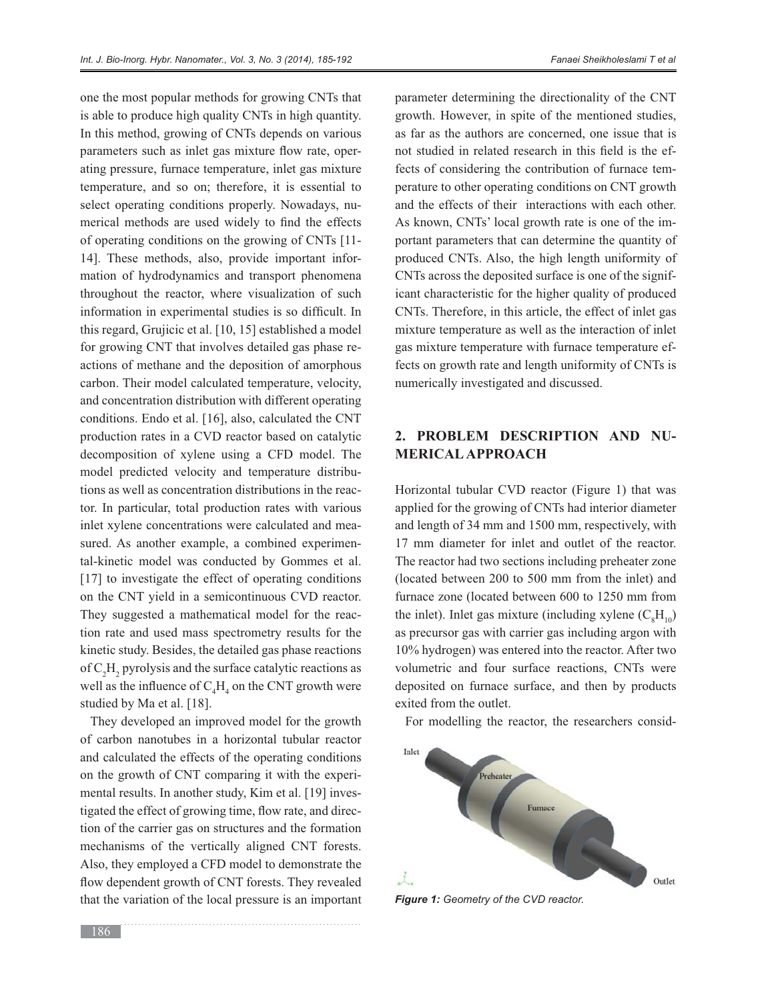one the most popular methods for growing CNTs that is able to produce high quality CNTs in high quantity. In this method, growing of CNTs depends on various parameters such as inlet gas mixture flow rate, operating pressure, furnace temperature, inlet gas mixture temperature, and so on; therefore, it is essential to select operating conditions properly. Nowadays, numerical methods are used widely to find the effects of operating conditions on the growing of CNTs [11- 14]. These methods, also, provide important information of hydrodynamics and transport phenomena throughout the reactor, where visualization of such information in experimental studies is so difficult. In this regard, Grujicic et al. [10, 15] established a model for growing CNT that involves detailed gas phase reactions of methane and the deposition of amorphous carbon. Their model calculated temperature, velocity, and concentration distribution with different operating conditions. Endo et al. [16], also, calculated the CNT production rates in a CVD reactor based on catalytic decomposition of xylene using a CFD model. The model predicted velocity and temperature distributions as well as concentration distributions in the reactor. In particular, total production rates with various inlet xylene concentrations were calculated and measured. As another example, a combined experimental-kinetic model was conducted by Gommes et al. [17] to investigate the effect of operating conditions on the CNT yield in a semicontinuous CVD reactor. They suggested a mathematical model for the reaction rate and used mass spectrometry results for the kinetic study. Besides, the detailed gas phase reactions of  $C_2H_2$  pyrolysis and the surface catalytic reactions as well as the influence of  $C_4H_4$  on the CNT growth were studied by Ma et al. [18].

They developed an improved model for the growth of carbon nanotubes in a horizontal tubular reactor and calculated the effects of the operating conditions on the growth of CNT comparing it with the experimental results. In another study, Kim et al. [19] investigated the effect of growing time, flow rate, and direction of the carrier gas on structures and the formation mechanisms of the vertically aligned CNT forests. Also, they employed a CFD model to demonstrate the flow dependent growth of CNT forests. They revealed that the variation of the local pressure is an important

parameter determining the directionality of the CNT growth. However, in spite of the mentioned studies, as far as the authors are concerned, one issue that is not studied in related research in this field is the effects of considering the contribution of furnace temperature to other operating conditions on CNT growth and the effects of their interactions with each other. As known, CNTs' local growth rate is one of the important parameters that can determine the quantity of produced CNTs. Also, the high length uniformity of CNTs across the deposited surface is one of the significant characteristic for the higher quality of produced CNTs. Therefore, in this article, the effect of inlet gas mixture temperature as well as the interaction of inlet gas mixture temperature with furnace temperature effects on growth rate and length uniformity of CNTs is numerically investigated and discussed.

# **2. PROBLEM DESCRIPTION AND NU-MERICAL APPROACH**

Horizontal tubular CVD reactor (Figure 1) that was applied for the growing of CNTs had interior diameter and length of 34 mm and 1500 mm, respectively, with 17 mm diameter for inlet and outlet of the reactor. The reactor had two sections including preheater zone (located between 200 to 500 mm from the inlet) and furnace zone (located between 600 to 1250 mm from the inlet). Inlet gas mixture (including xylene  $(C_8H_{10})$ as precursor gas with carrier gas including argon with 10% hydrogen) was entered into the reactor. After two volumetric and four surface reactions, CNTs were deposited on furnace surface, and then by products exited from the outlet.

For modelling the reactor, the researchers consid-



*Figure 1: Geometry of the CVD reactor.*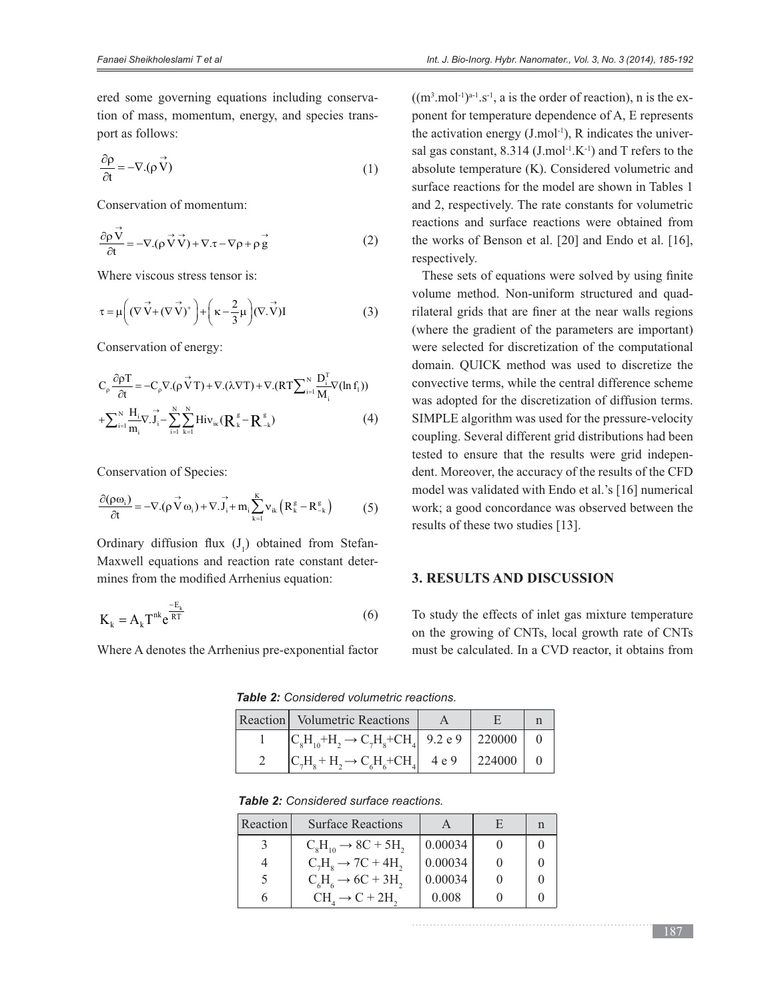ered some governing equations including conservation of mass, momentum, energy, and species transport as follows:

$$
\frac{\partial \rho}{\partial t} = -\nabla \cdot (\rho \vec{V}) \tag{1}
$$

Conservation of momentum:

$$
\frac{\partial \rho \vec{V}}{\partial t} = -\nabla \cdot (\rho \vec{V} \vec{V}) + \nabla \cdot \tau - \nabla \rho + \rho \vec{g}
$$
 (2)

Where viscous stress tensor is:

$$
\tau = \mu \left( (\nabla \vec{V} + (\nabla \vec{V})^+ \right) + \left( \kappa - \frac{2}{3} \mu \right) (\nabla \cdot \vec{V}) I
$$
 (3)

Conservation of energy:

$$
C_{\rho} \frac{\partial \rho T}{\partial t} = -C_{\rho} \nabla \cdot (\rho \vec{V} T) + \nabla \cdot (\lambda \nabla T) + \nabla \cdot (RT \sum_{i=1}^{N} \frac{D_i^{T}}{M_i} \nabla (\ln f_1))
$$
  
+
$$
\sum_{i=1}^{N} \frac{H_i}{m_i} \nabla \cdot \vec{J}_i - \sum_{i=1}^{N} \sum_{k=1}^{N} Hiv_{ik} (R_{k}^{s} - R_{-k}^{s})
$$
(4)

Conservation of Species:

$$
\frac{\partial(\rho\omega_{i})}{\partial t} = -\nabla.(\rho\vec{V}\omega_{i}) + \nabla.\vec{J}_{i} + m_{i}\sum_{k=1}^{K}v_{ik}\left(R_{k}^{g} - R_{-k}^{g}\right)
$$
(5)

Ordinary diffusion flux (J) obtained from Stefan-Maxwell equations and reaction rate constant determines from the modified Arrhenius equation:

$$
K_{k} = A_{k} T^{nk} e^{\frac{-E_{k}}{RT}}
$$
 (6)

Where A denotes the Arrhenius pre-exponential factor

 $((m^3.mol^{-1})^{a-1}.s^{-1}, a$  is the order of reaction), n is the exponent for temperature dependence of A, E represents the activation energy  $(J \mod 1)$ , R indicates the universal gas constant,  $8.314$  (J.mol<sup>-1</sup>.K<sup>-1</sup>) and T refers to the absolute temperature (K). Considered volumetric and surface reactions for the model are shown in Tables 1 and 2, respectively. The rate constants for volumetric reactions and surface reactions were obtained from the works of Benson et al. [20] and Endo et al. [16], respectively.

These sets of equations were solved by using finite volume method. Non-uniform structured and quadrilateral grids that are finer at the near walls regions (where the gradient of the parameters are important) were selected for discretization of the computational domain. QUICK method was used to discretize the convective terms, while the central difference scheme was adopted for the discretization of diffusion terms. SIMPLE algorithm was used for the pressure-velocity coupling. Several different grid distributions had been tested to ensure that the results were grid independent. Moreover, the accuracy of the results of the CFD model was validated with Endo et al.'s [16] numerical work; a good concordance was observed between the results of these two studies [13].

## **3. RESULTS AND DISCUSSION**

To study the effects of inlet gas mixture temperature on the growing of CNTs, local growth rate of CNTs must be calculated. In a CVD reactor, it obtains from

Table 2: Considered volumetric reactions.

| Reaction   Volumetric Reactions                                                         |            |  |
|-----------------------------------------------------------------------------------------|------------|--|
| $ C_{\rm s}H_{10}+H_{\rm s} \rightarrow C_{\rm z}H_{\rm s}+CH_{\rm z}$ 9.2 e 9   220000 |            |  |
| $ C_7H_s + H_2 \rightarrow C_6H_6 + CH_4$ 4 e 9                                         | 224000   0 |  |

Table 2: Considered surface reactions.

| Reaction | <b>Surface Reactions</b>                                |         | F |  |
|----------|---------------------------------------------------------|---------|---|--|
|          | $C_{\rm s}H_{\rm 10} \rightarrow 8C + 5H_{\rm 2}$       | 0.00034 |   |  |
|          | $C_7H_0 \rightarrow 7C + 4H_2$                          | 0.00034 |   |  |
|          | $C_{\epsilon}H_{\epsilon} \rightarrow 6C + 3H_{\gamma}$ | 0.00034 |   |  |
|          | $CHa \rightarrow C + 2H2$                               | 0.008   |   |  |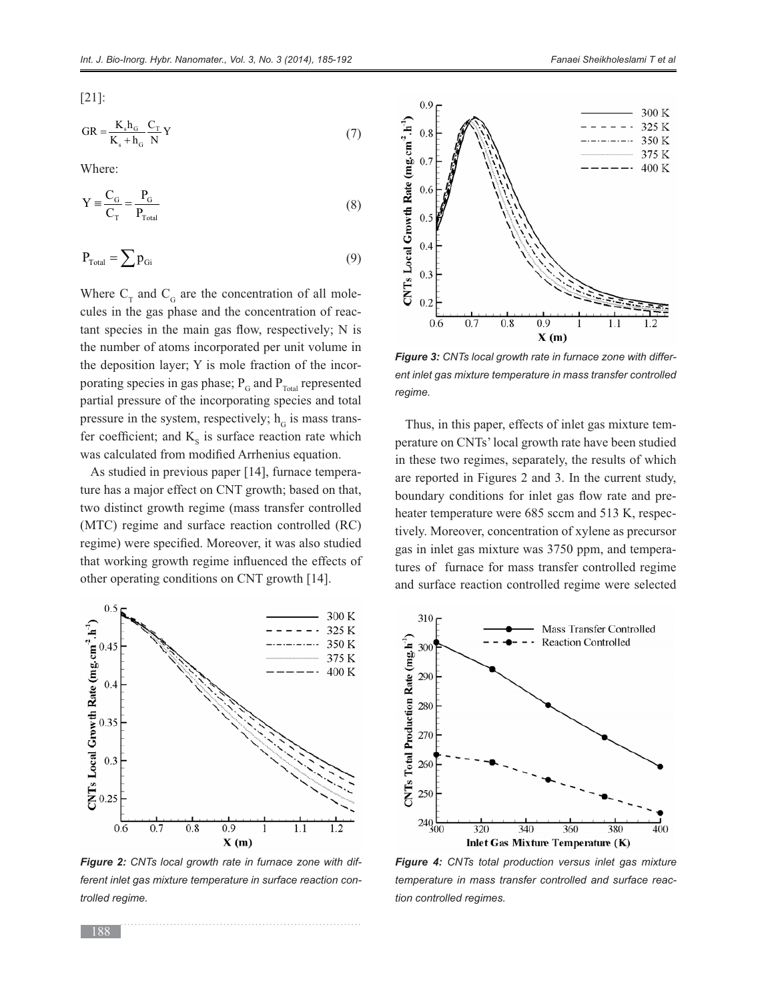[21]:

$$
GR = \frac{K_s h_G}{K_s + h_G} \frac{C_T}{N} Y
$$
\n<sup>(7)</sup>

Where:

$$
Y \equiv \frac{C_{\rm G}}{C_{\rm T}} = \frac{P_{\rm G}}{P_{\rm Total}} \tag{8}
$$

$$
P_{\text{Total}} = \sum p_{\text{Gi}} \tag{9}
$$

Where  $C_T$  and  $C_G$  are the concentration of all molecules in the gas phase and the concentration of reac- $\tan t$  species in the main gas flow, respectively; N is the number of atoms incorporated per unit volume in the deposition layer; Y is mole fraction of the incorporating species in gas phase;  $P_G$  and  $P_{Total}$  represented partial pressure of the incorporating species and total pressure in the system, respectively;  $h<sub>G</sub>$  is mass transfer coefficient; and  $K<sub>s</sub>$  is surface reaction rate which was calculated from modified Arrhenius equation.

As studied in previous paper [14], furnace temperature has a major effect on CNT growth; based on that, two distinct growth regime (mass transfer controlled (MTC) regime and surface reaction controlled (RC) regime) were specified. Moreover, it was also studied that working growth regime influenced the effects of other operating conditions on CNT growth [14].



*Figure 2: CNTs local growth rate in furnace zone with different inlet gas mixture temperature in surface reaction controlled regime.*



*Figure 3: CNTs local growth rate in furnace zone with different inlet gas mixture temperature in mass transfer controlled regime.*

Thus, in this paper, effects of inlet gas mixture temperature on CNTs' local growth rate have been studied in these two regimes, separately, the results of which are reported in Figures 2 and 3. In the current study, boundary conditions for inlet gas flow rate and preheater temperature were 685 sccm and 513 K, respectively. Moreover, concentration of xylene as precursor gas in inlet gas mixture was 3750 ppm, and temperatures of furnace for mass transfer controlled regime and surface reaction controlled regime were selected



*Figure 4: CNTs total production versus inlet gas mixture temperature in mass transfer controlled and surface reaction controlled regimes.*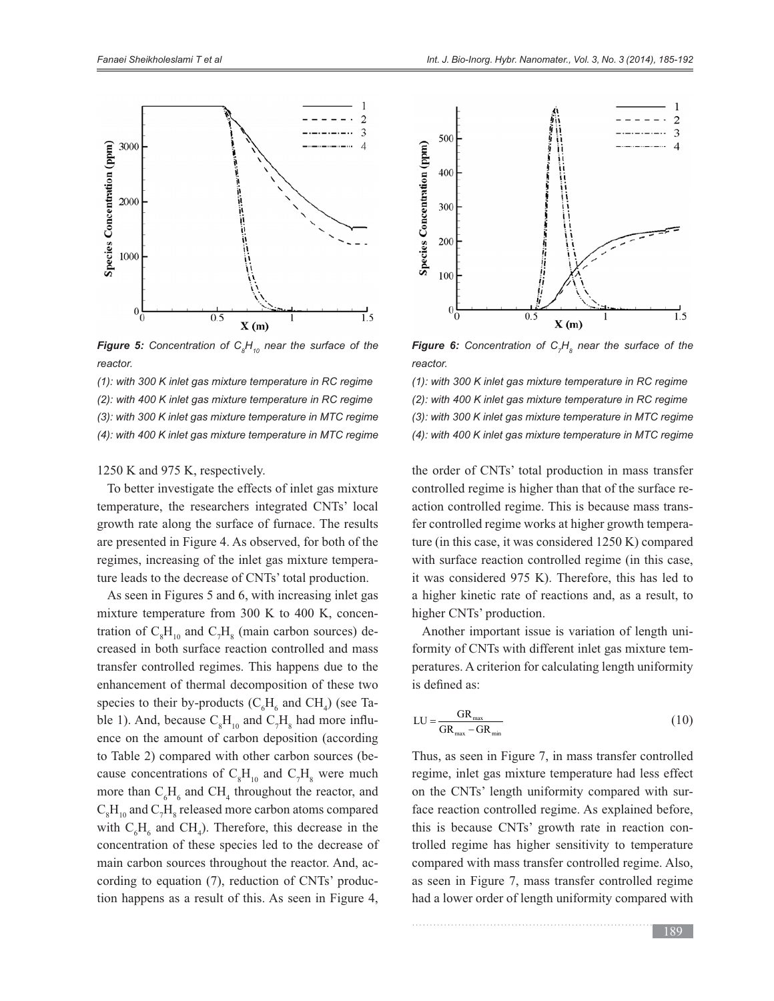

**Figure 5:** Concentration of  $C_{g}H_{10}$  near the surface of the *reactor.*

*(1): with 300 K inlet gas mixture temperature in RC regime (2): with 400 K inlet gas mixture temperature in RC regime (3): with 300 K inlet gas mixture temperature in MTC regime (4): with 400 K inlet gas mixture temperature in MTC regime*

1250 K and 975 K, respectively.

To better investigate the effects of inlet gas mixture temperature, the researchers integrated CNTs' local growth rate along the surface of furnace. The results are presented in Figure 4. As observed, for both of the regimes, increasing of the inlet gas mixture temperature leads to the decrease of CNTs' total production.

As seen in Figures 5 and 6, with increasing inlet gas mixture temperature from 300 K to 400 K, concentration of  $C_8H_{10}$  and  $C_7H_8$  (main carbon sources) decreased in both surface reaction controlled and mass transfer controlled regimes. This happens due to the enhancement of thermal decomposition of these two species to their by-products ( $C_6H_6$  and  $CH_4$ ) (see Table 1). And, because  $C_8H_{10}$  and  $C_7H_8$  had more influence on the amount of carbon deposition (according to Table 2) compared with other carbon sources (because concentrations of  $C_8H_{10}$  and  $C_7H_8$  were much more than  $C_6H_6$  and  $CH_4$  throughout the reactor, and  $\rm C_{8}H_{10}$  and  $\rm C_{7}H_{8}$  released more carbon atoms compared with  $C_6H_6$  and CH<sub>4</sub>). Therefore, this decrease in the concentration of these species led to the decrease of main carbon sources throughout the reactor. And, according to equation (7), reduction of CNTs' production happens as a result of this. As seen in Figure 4,



*Figure 6: Concentration of C<sub>7</sub>H<sub>8</sub> near the surface of the reactor.*

*(1): with 300 K inlet gas mixture temperature in RC regime (2): with 400 K inlet gas mixture temperature in RC regime (3): with 300 K inlet gas mixture temperature in MTC regime (4): with 400 K inlet gas mixture temperature in MTC regime*

the order of CNTs' total production in mass transfer controlled regime is higher than that of the surface reaction controlled regime. This is because mass transfer controlled regime works at higher growth temperature (in this case, it was considered 1250 K) compared with surface reaction controlled regime (in this case, it was considered 975 K). Therefore, this has led to a higher kinetic rate of reactions and, as a result, to higher CNTs' production.

Another important issue is variation of length uniformity of CNTs with different inlet gas mixture temperatures. A criterion for calculating length uniformity is defined as:

$$
LU = \frac{GR_{\text{max}}}{GR_{\text{max}} - GR_{\text{min}}}
$$
 (10)

Thus, as seen in Figure 7, in mass transfer controlled regime, inlet gas mixture temperature had less effect on the CNTs' length uniformity compared with surface reaction controlled regime. As explained before, this is because CNTs' growth rate in reaction controlled regime has higher sensitivity to temperature compared with mass transfer controlled regime. Also, as seen in Figure 7, mass transfer controlled regime had a lower order of length uniformity compared with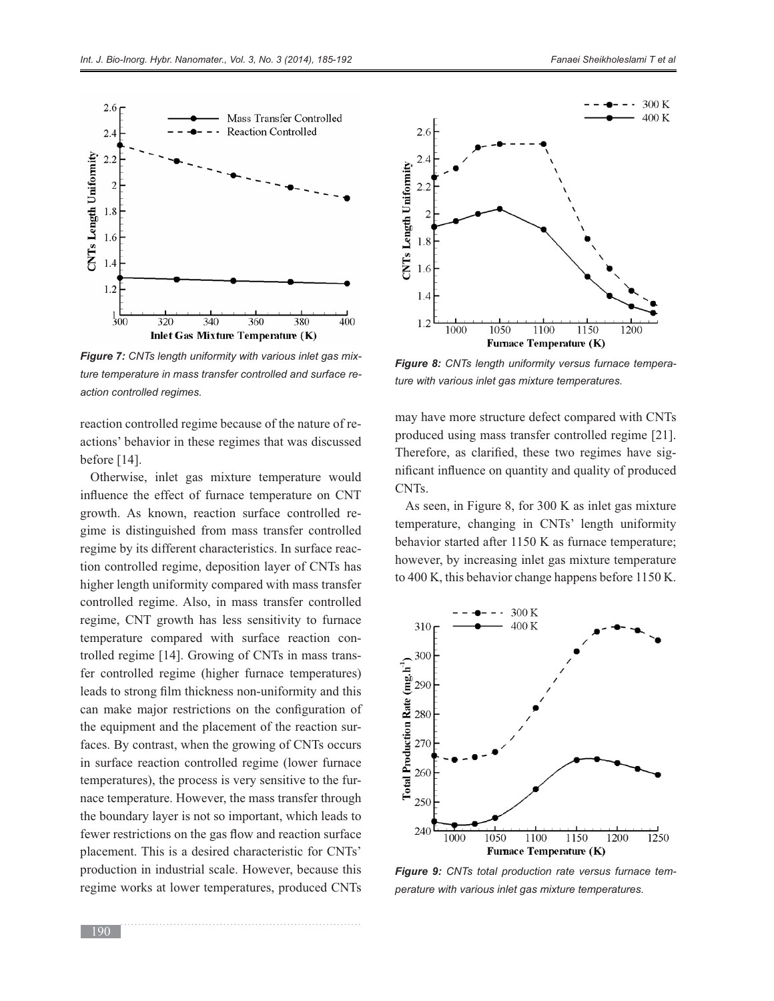

*Figure 7: CNTs length uniformity with various inlet gas mixture temperature in mass transfer controlled and surface reaction controlled regimes.*

reaction controlled regime because of the nature of reactions' behavior in these regimes that was discussed before [14].

Otherwise, inlet gas mixture temperature would influence the effect of furnace temperature on CNT growth. As known, reaction surface controlled regime is distinguished from mass transfer controlled regime by its different characteristics. In surface reaction controlled regime, deposition layer of CNTs has higher length uniformity compared with mass transfer controlled regime. Also, in mass transfer controlled regime, CNT growth has less sensitivity to furnace temperature compared with surface reaction controlled regime [14]. Growing of CNTs in mass transfer controlled regime (higher furnace temperatures) leads to strong film thickness non-uniformity and this can make major restrictions on the configuration of the equipment and the placement of the reaction surfaces. By contrast, when the growing of CNTs occurs in surface reaction controlled regime (lower furnace temperatures), the process is very sensitive to the furnace temperature. However, the mass transfer through the boundary layer is not so important, which leads to fewer restrictions on the gas flow and reaction surface placement. This is a desired characteristic for CNTs' production in industrial scale. However, because this regime works at lower temperatures, produced CNTs



*Figure 8: CNTs length uniformity versus furnace temperature with various inlet gas mixture temperatures.*

may have more structure defect compared with CNTs produced using mass transfer controlled regime [21]. Therefore, as clarified, these two regimes have significant influence on quantity and quality of produced CNTs.

As seen, in Figure 8, for 300 K as inlet gas mixture temperature, changing in CNTs' length uniformity behavior started after 1150 K as furnace temperature; however, by increasing inlet gas mixture temperature to 400 K, this behavior change happens before 1150 K.



*Figure 9: CNTs total production rate versus furnace temperature with various inlet gas mixture temperatures.*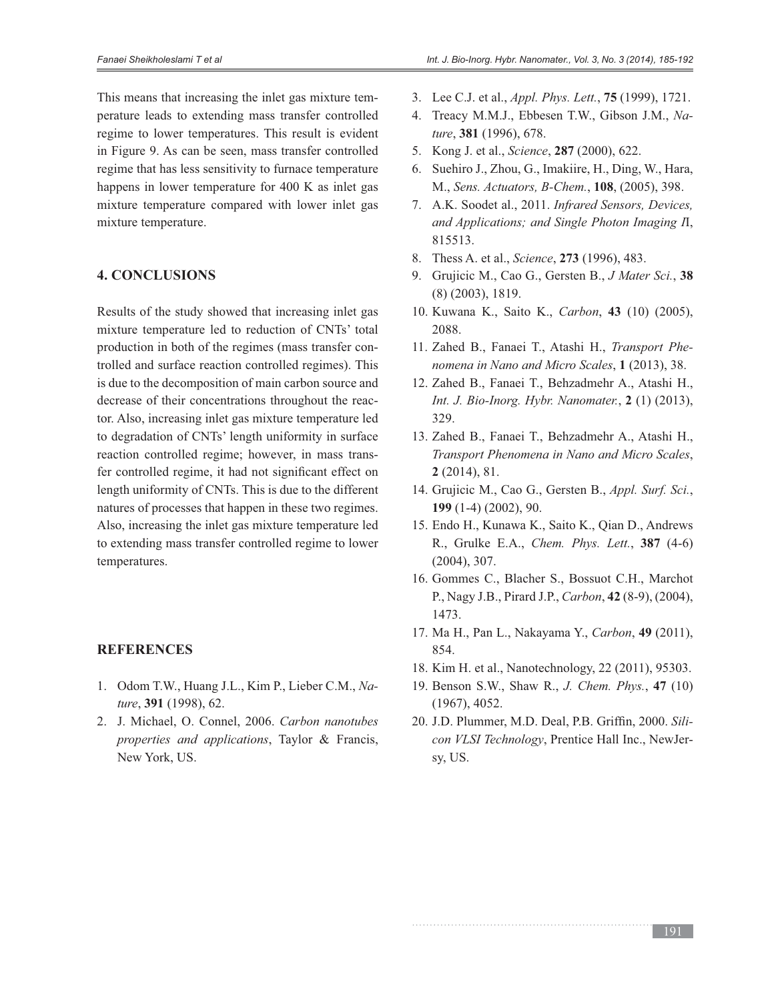This means that increasing the inlet gas mixture temperature leads to extending mass transfer controlled regime to lower temperatures. This result is evident in Figure 9. As can be seen, mass transfer controlled regime that has less sensitivity to furnace temperature happens in lower temperature for 400 K as inlet gas mixture temperature compared with lower inlet gas mixture temperature.

### **4. CONCLUSIONS**

Results of the study showed that increasing inlet gas mixture temperature led to reduction of CNTs' total production in both of the regimes (mass transfer controlled and surface reaction controlled regimes). This is due to the decomposition of main carbon source and decrease of their concentrations throughout the reactor. Also, increasing inlet gas mixture temperature led to degradation of CNTs' length uniformity in surface reaction controlled regime; however, in mass transfer controlled regime, it had not significant effect on length uniformity of CNTs. This is due to the different natures of processes that happen in these two regimes. Also, increasing the inlet gas mixture temperature led to extending mass transfer controlled regime to lower temperatures.

## **REFERENCES**

- 1. Odom T.W., Huang J.L., Kim P., Lieber C.M., Na*ture*, **391** (1998), 62.
- 2. J. Michael, O. Connel, 2006. *Carbon nanotubes properties and applications*, Taylor & Francis, New York, US.
- 3. Lee C.J. et al., *Appl. Phys. Lett.*, **75** (1999), 1721.
- 4. Treacy M.M.J., Ebbesen T.W., Gibson J.M., Na*ture*, **381** (1996), 678.
- 5. Kong J. et al., *Science*, **287** (2000), 622.
- 6. Suehiro J., Zhou, G., Imakiire, H., Ding, W., Hara, M., *Sens. Actuators, B-Chem.*, **108**, (2005), 398.
- 7. A.K. Soodet al., 2011. *Infrared Sensors, Devices, and Applications; and Single Photon Imaging I*I, 815513.
- 8. Thess A. et al., *Science*, **273** (1996), 483.
- 9. Grujicic M., Cao G., Gersten B., *J Mater Sci.*, **38** (8) (2003), 1819.
- 10. Kuwana K., Saito K., *Carbon*, **43** (10) (2005), 2088.
- 11. Zahed B., Fanaei T., Atashi H., *Transport Phenomena in Nano and Micro Scales*, **1** (2013), 38.
- 12. Zahed B., Fanaei T., Behzadmehr A., Atashi H., *Int. J. Bio-Inorg. Hybr. Nanomater.*, **2** (1) (2013), 329.
- 13. Zahed B., Fanaei T., Behzadmehr A., Atashi H., *Transport Phenomena in Nano and Micro Scales*, **2** (2014), 81.
- 14. Grujicic M., Cao G., Gersten B., *Appl. Surf. Sci.*, **199** (1-4) (2002), 90.
- 15. Endo H., Kunawa K., Saito K., Qian D., Andrews R., Grulke E.A., *Chem. Phys. Lett.*, **387** (4-6) (2004), 307.
- 16. Gommes C., Blacher S., Bossuot C.H., Marchot P., Nagy J.B., Pirard J.P., *Carbon*, **42** (8-9), (2004), 1473.
- 17. Ma H., Pan L., Nakayama Y., *Carbon*, **49** (2011), 854.
- 18. Kim H. et al., Nanotechnology, 22 (2011), 95303.
- 19. Benson S.W., Shaw R., *J. Chem. Phys.*, 47 (10) (1967), 4052.
- 20. J.D. Plummer, M.D. Deal, P.B. Griffin, 2000. Sili*con VLSI Technology*, Prentice Hall Inc., NewJersy, US.